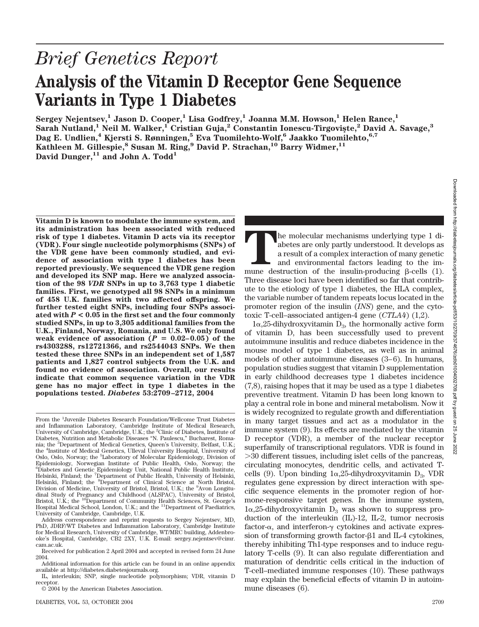# *Brief Genetics Report* **Analysis of the Vitamin D Receptor Gene Sequence Variants in Type 1 Diabetes**

Sergey Nejentsev,<sup>1</sup> Jason D. Cooper,<sup>1</sup> Lisa Godfrey,<sup>1</sup> Joanna M.M. Howson,<sup>1</sup> Helen Rance,<sup>1</sup> Sarah Nutland,<sup>1</sup> Neil M. Walker,<sup>1</sup> Cristian Guja,<sup>2</sup> Constantin Ionescu-Tirgoviște,<sup>2</sup> David A. Savage,<sup>3</sup> **Dag E. Undlien,4 Kjersti S. Rønningen,5 Eva Tuomilehto-Wolf,6 Jaakko Tuomilehto,6,7 Kathleen M. Gillespie,<sup>8</sup> Susan M. Ring,<sup>9</sup> David P. Strachan,<sup>10</sup> Barry Widmer,<sup>11</sup>** David Dunger,<sup>11</sup> and John A. Todd<sup>1</sup>

**Vitamin D is known to modulate the immune system, and its administration has been associated with reduced risk of type 1 diabetes. Vitamin D acts via its receptor (VDR). Four single nucleotide polymorphisms (SNPs) of the VDR gene have been commonly studied, and evidence of association with type 1 diabetes has been reported previously. We sequenced the VDR gene region and developed its SNP map. Here we analyzed association of the 98** *VDR* **SNPs in up to 3,763 type 1 diabetic families. First, we genotyped all 98 SNPs in a minimum of 458 U.K. families with two affected offspring. We further tested eight SNPs, including four SNPs associated with** *P* **< 0.05 in the first set and the four commonly studied SNPs, in up to 3,305 additional families from the U.K., Finland, Norway, Romania, and U.S. We only found** weak evidence of association  $(P = 0.02-0.05)$  of the **rs4303288, rs12721366, and rs2544043 SNPs. We then tested these three SNPs in an independent set of 1,587 patients and 1,827 control subjects from the U.K. and found no evidence of association. Overall, our results indicate that common sequence variation in the VDR gene has no major effect in type 1 diabetes in the populations tested.** *Diabetes* **53:2709–2712, 2004**

From the <sup>1</sup>Juvenile Diabetes Research Foundation/Wellcome Trust Diabetes and Inflammation Laboratory, Cambridge Institute of Medical Research, University of Cambridge, Cambridge, U.K.; the <sup>2</sup>Clinic of Diabetes, Institute of Diabetes, Nutrition and Metabolic Diseases "N. Paulescu," Bucharest, Romania; the <sup>3</sup>Department of Medical Genetics, Queen's University, Belfast, U.K.;<br>the <sup>4</sup>Institute of Medical Genetics, Ulleval University Hospital, University of Oslo, Oslo, Norway; the <sup>5</sup>Laboratory of Molecular Epidemiology, Division of Epidemiology, Norwegian Institute of Public Health, Oslo, Norway; the 6 Diabetes and Genetic Epidemiology Unit, National Public Health Institute, Helsinki, Finland; the <sup>7</sup> Department of Public Health, University of Helsinki, Helsinki, Finland; the <sup>8</sup>Department of Clinical Science at North Bristol, Division of Medicine, University of Bristol, Bristol, U.K.; the <sup>9</sup>Avon Longitudinal Study of Pregnancy and Childhood (ALSPAC), University of Bristol, Bristol, U.K.; the <sup>10</sup>Department of Community Health Sciences, St. George's Hospital Medical School, London, U.K.; and the <sup>11</sup>Department of Paediatrics, University of Cambridge, Cambridge, U.K.

Address correspondence and reprint requests to Sergey Nejentsev, MD, PhD, JDRF/WT Diabetes and Inflammation Laboratory, Cambridge Institute for Medical Research, University of Cambridge, WT/MRC building, Addenbrooke's Hospital, Cambridge, CB2 2XY, U.K. E-mail: sergey.nejentsev@cimr. cam.ac.uk.

© 2004 by the American Diabetes Association.

The molecular mechanisms underlying type 1 diabetes are only partly understood. It develops as a result of a complex interaction of many genetic and environmental factors leading to the immune destruction of the insulin-p abetes are only partly understood. It develops as a result of a complex interaction of many genetic and environmental factors leading to the im-Three disease loci have been identified so far that contribute to the etiology of type 1 diabetes, the HLA complex, the variable number of tandem repeats locus located in the promoter region of the insulin (*INS*) gene, and the cytotoxic T-cell–associated antigen-4 gene (*CTLA4*) (1,2).

 $1\alpha,25$ -dihydroxyvitamin D<sub>3</sub>, the hormonally active form of vitamin D, has been successfully used to prevent autoimmune insulitis and reduce diabetes incidence in the mouse model of type 1 diabetes, as well as in animal models of other autoimmune diseases (3–6). In humans, population studies suggest that vitamin D supplementation in early childhood decreases type 1 diabetes incidence (7,8), raising hopes that it may be used as a type 1 diabetes preventive treatment. Vitamin D has been long known to play a central role in bone and mineral metabolism. Now it is widely recognized to regulate growth and differentiation in many target tissues and act as a modulator in the immune system (9). Its effects are mediated by the vitamin D receptor (VDR), a member of the nuclear receptor superfamily of transcriptional regulators. VDR is found in 30 different tissues, including islet cells of the pancreas, circulating monocytes, dendritic cells, and activated Tcells (9). Upon binding  $1\alpha,25$ -dihydroxyvitamin  $D_3$ , VDR regulates gene expression by direct interaction with specific sequence elements in the promoter region of hormone-responsive target genes. In the immune system,  $1\alpha,25$ -dihydroxyvitamin  $D_3$  was shown to suppress production of the interleukin (IL)-12, IL-2, tumor necrosis factor- $\alpha$ , and interferon- $\gamma$  cytokines and activate expression of transforming growth factor- $\beta$ 1 and IL-4 cytokines, thereby inhibiting Th1-type responses and to induce regulatory T-cells (9). It can also regulate differentiation and maturation of dendritic cells critical in the induction of T-cell–mediated immune responses (10). These pathways may explain the beneficial effects of vitamin D in autoimmune diseases (6).

Received for publication 2 April 2004 and accepted in revised form 24 June 2004.

Additional information for this article can be found in an online appendix available at http://diabetes.diabetesjournals.org.

IL, interleukin; SNP, single nucleotide polymorphism; VDR, vitamin D receptor.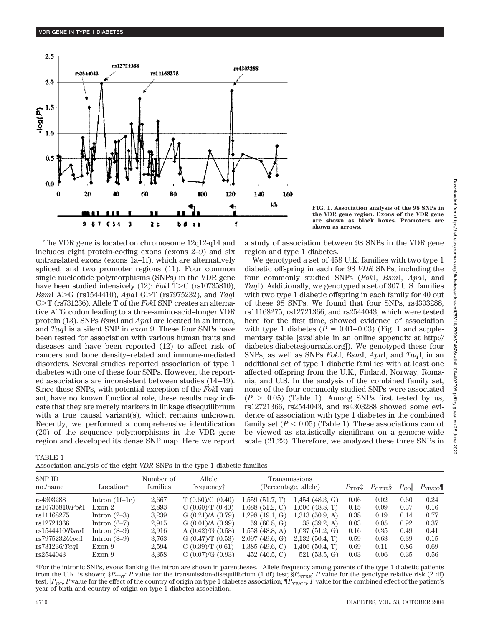

**FIG. 1. Association analysis of the 98 SNPs in the VDR gene region. Exons of the VDR gene are shown as black boxes. Promoters are shown as arrows.**

The VDR gene is located on chromosome 12q12-q14 and includes eight protein-coding exons (exons 2–9) and six untranslated exons (exons 1a–1f), which are alternatively spliced, and two promoter regions (11). Four common single nucleotide polymorphisms (SNPs) in the VDR gene have been studied intensively (12): *FokI* T>C (rs10735810), *BsmI* A>G (rs1544410), *ApaI* G>T (rs7975232), and *TaqI* C $>$ T (rs731236). Allele T of the *Fok*I SNP creates an alternative ATG codon leading to a three-amino-acid–longer VDR protein (13). SNPs *Bsm*I and *Apa*I are located in an intron, and *Taq*I is a silent SNP in exon 9. These four SNPs have been tested for association with various human traits and diseases and have been reported (12) to affect risk of cancers and bone density–related and immune-mediated disorders. Several studies reported association of type 1 diabetes with one of these four SNPs. However, the reported associations are inconsistent between studies (14–19). Since these SNPs, with potential exception of the *Fok*I variant, have no known functional role, these results may indicate that they are merely markers in linkage disequilibrium with a true causal variant(s), which remains unknown. Recently, we performed a comprehensive identification (20) of the sequence polymorphisms in the VDR gene region and developed its dense SNP map. Here we report a study of association between 98 SNPs in the VDR gene region and type 1 diabetes.

We genotyped a set of 458 U.K. families with two type 1 diabetic offspring in each for 98 *VDR* SNPs, including the four commonly studied SNPs (*Fok*I, *Bsm*I, *Apa*I, and *Taq*I). Additionally, we genotyped a set of 307 U.S. families with two type 1 diabetic offspring in each family for 40 out of these 98 SNPs. We found that four SNPs, rs4303288, rs11168275, rs12721366, and rs2544043, which were tested here for the first time, showed evidence of association with type 1 diabetes  $(P = 0.01-0.03)$  (Fig. 1 and supplementary table [available in an online appendix at http:// diabetes.diabetesjournals.org]). We genotyped these four SNPs, as well as SNPs *Fok*I, *Bsm*I, *Apa*I, and *Taq*I, in an additional set of type 1 diabetic families with at least one affected offspring from the U.K., Finland, Norway, Romania, and U.S. In the analysis of the combined family set, none of the four commonly studied SNPs were associated  $(P > 0.05)$  (Table 1). Among SNPs first tested by us, rs12721366, rs2544043, and rs4303288 showed some evidence of association with type 1 diabetes in the combined family set  $(P < 0.05)$  (Table 1). These associations cannot be viewed as statistically significant on a genome-wide scale (21,22). Therefore, we analyzed these three SNPs in

TABLE 1

Association analysis of the eight *VDR* SNPs in the type 1 diabetic families

2022

| SNP ID<br>Location*<br>no./name |       | Allele<br>frequency <sup>†</sup> | Transmissions<br>(Percentage, allele) |                   |      |      |      |                                                                       |
|---------------------------------|-------|----------------------------------|---------------------------------------|-------------------|------|------|------|-----------------------------------------------------------------------|
| Intron $(1f–1e)$                | 2,667 | T(0.60)/G(0.40)                  | 1,559(51.7, T)                        | $1,454$ (48.3, G) | 0.06 | 0.02 | 0.60 | 0.24                                                                  |
| Exon 2                          | 2,893 | $C(0.60)$ T $(0.40)$             | $1,688$ (51.2, C)                     | $1,606$ (48.8, T) | 0.15 | 0.09 | 0.37 | 0.16                                                                  |
| Intron $(2-3)$                  | 3,239 | G $(0.21)/A$ $(0.79)$            | $1,298$ (49.1, G)                     | $1,343$ (50.9, A) | 0.38 | 0.19 | 0.14 | 0.77                                                                  |
| Intron $(6-7)$                  | 2,915 | G $(0.01)/A$ $(0.99)$            | 59(60.8, G)                           | 38(39.2, A)       | 0.03 | 0.05 | 0.92 | 0.37                                                                  |
| Intron $(8-9)$                  | 2,916 | A $(0.42)$ /G $(0.58)$           | $1,558$ (48.8, A)                     | $1,637$ (51.2, G) | 0.16 | 0.35 | 0.49 | 0.41                                                                  |
| Intron $(8-9)$                  | 3,763 | G $(0.47)$ T $(0.53)$            | $2,097$ (49.6, G)                     | $2,132$ (50.4, T) | 0.59 | 0.63 | 0.39 | 0.15                                                                  |
| Exon 9                          | 2,594 | $C(0.39)$ T $(0.61)$             | $1,385$ (49.6, C)                     | $1,406$ (50.4, T) | 0.69 | 0.11 | 0.86 | 0.69                                                                  |
| Exon 9                          | 3.358 | C(0.07)/G(0.93)                  | 452 (46.5, C)                         | 521(53.5, G)      | 0.03 | 0.06 | 0.35 | 0.56                                                                  |
|                                 |       | Number of<br>families            |                                       |                   |      |      |      | $P_{\text{TDT}}$ $P_{\text{GTRR}}$ $P_{\text{CO}}$ $P_{\text{YB/CO}}$ |

\*For the intronic SNPs, exons flanking the intron are shown in parentheses. †Allele frequency among parents of the type 1 diabetic patients from the U.K. is shown;  $\sharp P_{\text{TDT}}$ : *P* value for the transmission-disequilibrium (1 df) test;  $\S P_{\text{GTRR}}$ : *P* value for the genotype relative risk (2 df) test;  $|P_{\rm CO}$ : *P* value for the effect of the country of origin on type 1 diabetes association;  $\P P_{\rm YBCO}$ : *P* value for the combined effect of the patient's year of birth and country of origin on type 1 diabetes association.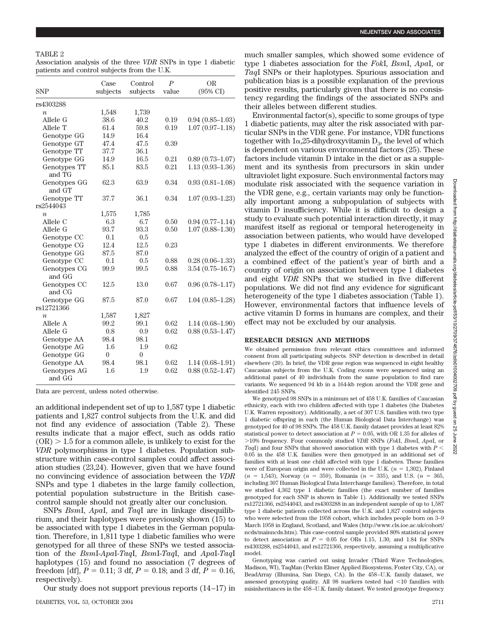## TABLE 2

Association analysis of the three *VDR* SNPs in type 1 diabetic patients and control subjects from the U.K.

| <b>SNP</b>               | Case<br>subjects | Control<br>subjects | $\boldsymbol{P}$<br>value | <b>OR</b><br>$(95\% \text{ C}I)$ |
|--------------------------|------------------|---------------------|---------------------------|----------------------------------|
| rs4303288                |                  |                     |                           |                                  |
| $\boldsymbol{n}$         | 1,548            | 1,739               |                           |                                  |
| Allele G                 | 38.6             | 40.2                | 0.19                      | $0.94(0.85 - 1.03)$              |
| Allele T                 | 61.4             | 59.8                | 0.19                      | $1.07(0.97-1.18)$                |
| Genotype GG              | 14.9             | 16.4                |                           |                                  |
| Genotype GT              | 47.4             | 47.5                | 0.39                      |                                  |
| Genotype TT              | 37.7             | 36.1                |                           |                                  |
| Genotype GG              | 14.9             | 16.5                | 0.21                      | $0.89(0.73 - 1.07)$              |
| Genotypes TT<br>and TG   | 85.1             | 83.5                | 0.21                      | $1.13(0.93 - 1.36)$              |
| Genotypes GG<br>and GT   | 62.3             | 63.9                | 0.34                      | $0.93(0.81 - 1.08)$              |
| Genotype TT<br>rs2544043 | 37.7             | 36.1                | 0.34                      | $1.07(0.93 - 1.23)$              |
|                          |                  |                     |                           |                                  |
| $\boldsymbol{n}$         | 1,575            | 1,785               |                           |                                  |
| Allele C<br>Allele G     | 6.3<br>93.7      | 6.7<br>93.3         | 0.50<br>0.50              | $0.94(0.77-1.14)$                |
|                          | 0.1              | 0.5                 |                           | $1.07(0.88 - 1.30)$              |
| Genotype CC              | 12.4             | 12.5                | 0.23                      |                                  |
| Genotype CG              | 87.5             | 87.0                |                           |                                  |
| Genotype GG              | 0.1              | 0.5                 | 0.88                      | $0.28(0.06-1.33)$                |
| Genotype CC              |                  |                     |                           |                                  |
| Genotypes CG<br>and GG   | 99.9             | 99.5                | 0.88                      | $3.54(0.75-16.7)$                |
| Genotypes CC<br>and CG   | 12.5             | 13.0                | 0.67                      | $0.96(0.78 - 1.17)$              |
| Genotype GG              | 87.5             | 87.0                | 0.67                      | $1.04(0.85-1.28)$                |
| rs12721366               |                  |                     |                           |                                  |
| $\boldsymbol{n}$         | 1,587            | 1,827               |                           |                                  |
| Allele A                 | 99.2             | 99.1                | 0.62                      | $1.14(0.68 - 1.90)$              |
| Allele G                 | 0.8              | 0.9                 | 0.62                      | $0.88(0.53 - 1.47)$              |
| Genotype AA              | 98.4             | 98.1                |                           |                                  |
| Genotype AG              | 1.6              | 1.9                 | 0.62                      |                                  |
| Genotype GG              | $\theta$         | $\overline{0}$      |                           |                                  |
| Genotype AA              | 98.4             | 98.1                | 0.62                      | $1.14(0.68 - 1.91)$              |
| Genotypes AG<br>and GG   | 1.6              | 1.9                 | 0.62                      | $0.88(0.52 - 1.47)$              |

Data are percent, unless noted otherwise.

an additional independent set of up to 1,587 type 1 diabetic patients and 1,827 control subjects from the U.K. and did not find any evidence of association (Table 2). These results indicate that a major effect, such as odds ratio  $(OR) > 1.5$  for a common allele, is unlikely to exist for the *VDR* polymorphisms in type 1 diabetes. Population substructure within case-control samples could affect association studies (23,24). However, given that we have found no convincing evidence of association between the *VDR* SNPs and type 1 diabetes in the large family collection, potential population substructure in the British casecontrol sample should not greatly alter our conclusion.

SNPs *Bsm*I, *Apa*I, and *Taq*I are in linkage disequilibrium, and their haplotypes were previously shown (15) to be associated with type 1 diabetes in the German population. Therefore, in 1,811 type 1 diabetic families who were genotyped for all three of these SNPs we tested association of the *Bsm*I-*Apa*I-*Taq*I, *Bsm*I-*Taq*I, and *Apa*I-*Taq*I haplotypes (15) and found no association (7 degrees of freedom [df],  $P = 0.11$ ; 3 df,  $P = 0.18$ ; and 3 df,  $P = 0.16$ , respectively).

Our study does not support previous reports (14–17) in

much smaller samples, which showed some evidence of type 1 diabetes association for the *Fok*I, *Bsm*I, *Apa*I, or *Taq*I SNPs or their haplotypes. Spurious association and publication bias is a possible explanation of the previous positive results, particularly given that there is no consistency regarding the findings of the associated SNPs and their alleles between different studies.

Environmental factor(s), specific to some groups of type 1 diabetic patients, may alter the risk associated with particular SNPs in the VDR gene. For instance, VDR functions together with  $1\alpha,25$ -dihydroxyvitamin  $D_3$ , the level of which is dependent on various environmental factors (25). These factors include vitamin D intake in the diet or as a supplement and its synthesis from precursors in skin under ultraviolet light exposure. Such environmental factors may modulate risk associated with the sequence variation in the VDR gene, e.g., certain variants may only be functionally important among a subpopulation of subjects with vitamin D insufficiency. While it is difficult to design a study to evaluate such potential interaction directly, it may manifest itself as regional or temporal heterogeneity in association between patients, who would have developed type 1 diabetes in different environments. We therefore analyzed the effect of the country of origin of a patient and a combined effect of the patient's year of birth and a country of origin on association between type 1 diabetes and eight *VDR* SNPs that we studied in five different populations. We did not find any evidence for significant heterogeneity of the type 1 diabetes association (Table 1). However, environmental factors that influence levels of active vitamin D forms in humans are complex, and their effect may not be excluded by our analysis.

#### **RESEARCH DESIGN AND METHODS**

We obtained permission from relevant ethics committees and informed consent from all participating subjects. SNP detection is described in detail elsewhere (20). In brief, the VDR gene region was sequenced in eight healthy Caucasian subjects from the U.K. Coding exons were sequenced using an additional panel of 40 individuals from the same population to find rare variants. We sequenced 94 kb in a 164-kb region around the VDR gene and identified 245 SNPs.

We genotyped 98 SNPs in a minimum set of 458 U.K. families of Caucasian ethnicity, each with two children affected with type 1 diabetes (the Diabetes U.K. Warren repository). Additionally, a set of 307 U.S. families with two type 1 diabetic offspring in each (the Human Biological Data Interchange) was genotyped for 40 of 98 SNPs. The 458 U.K. family dataset provides at least 82% statistical power to detect association at  $P = 0.05$ , with OR 1.35 for alleles of 10% frequency. Four commonly studied *VDR* SNPs (*Fok*I, *Bsm*I, *Apa*I, or *Taq*I) and four SNPs that showed association with type 1 diabetes with *P* 0.05 in the 458 U.K. families were then genotyped in an additional set of families with at least one child affected with type 1 diabetes. These families were of European origin and were collected in the U.K.  $(n = 1,302)$ , Finland  $(n = 1.543)$ , Norway  $(n = 359)$ , Romania  $(n = 335)$ , and U.S.  $(n = 365)$ , including 307 Human Biological Data Interchange families). Therefore, in total we studied 4,362 type 1 diabetic families (the exact number of families genotyped for each SNP is shown in Table 1). Additionally we tested SNPs rs12721366, rs2544043, and rs4303288 in an independent sample of up to 1,587 type 1 diabetic patients collected across the U.K. and 1,827 control subjects who were selected from the 1958 cohort, which includes people born on 3–9 March 1958 in England, Scotland, and Wales (http://www.cls.ioe.ac.uk/cohort/ ncds/mainncds.htm). This case-control sample provided 80% statistical power to detect association at  $P = 0.05$  for ORs 1.15, 1.30, and 1.84 for SNPs rs4303288, rs2544043, and rs12721366, respectively, assuming a multiplicative model.

Genotyping was carried out using Invader (Third Wave Technologies, Madison, WI), TaqMan (Perkin Elmer Applied Biosystems, Foster City, CA), or BeadArray (Illumina, San Diego, CA). In the 458–U.K. family dataset, we assessed genotyping quality. All  $98$  markers tested had  $\leq 10$  families with misinheritances in the 458–U.K. family dataset. We tested genotype frequency